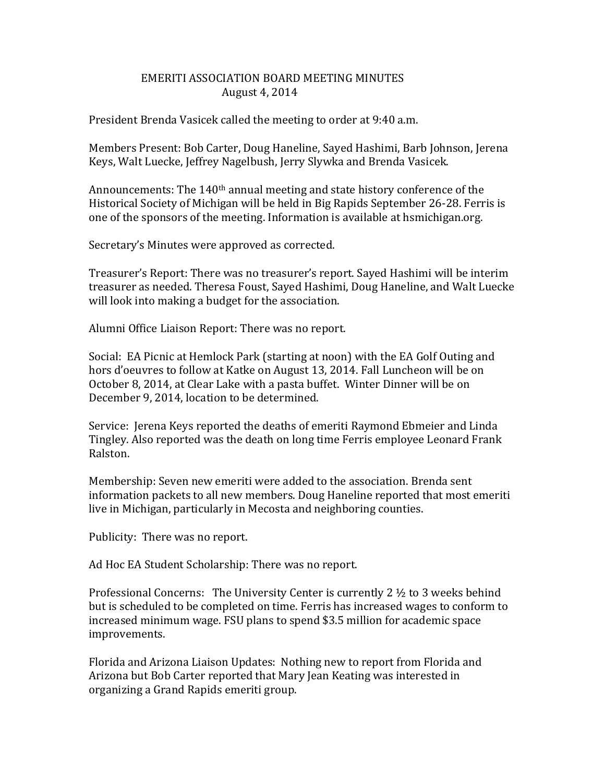## EMERITI ASSOCIATION BOARD MEETING MINUTES August 4, 2014

President Brenda Vasicek called the meeting to order at 9:40 a.m.

Members Present: Bob Carter, Doug Haneline, Sayed Hashimi, Barb Johnson, Jerena Keys, Walt Luecke, Jeffrey Nagelbush, Jerry Slywka and Brenda Vasicek.

Announcements: The  $140<sup>th</sup>$  annual meeting and state history conference of the Historical Society of Michigan will be held in Big Rapids September 26-28. Ferris is one of the sponsors of the meeting. Information is available at hsmichigan.org.

Secretary's Minutes were approved as corrected.

Treasurer's Report: There was no treasurer's report. Sayed Hashimi will be interim treasurer as needed. Theresa Foust, Sayed Hashimi, Doug Haneline, and Walt Luecke will look into making a budget for the association.

Alumni Office Liaison Report: There was no report.

Social: EA Picnic at Hemlock Park (starting at noon) with the EA Golf Outing and hors d'oeuvres to follow at Katke on August 13, 2014. Fall Luncheon will be on October 8, 2014, at Clear Lake with a pasta buffet. Winter Dinner will be on December 9, 2014, location to be determined.

Service: Jerena Keys reported the deaths of emeriti Raymond Ebmeier and Linda Tingley. Also reported was the death on long time Ferris employee Leonard Frank Ralston.

Membership: Seven new emeriti were added to the association. Brenda sent information packets to all new members. Doug Haneline reported that most emeriti live in Michigan, particularly in Mecosta and neighboring counties.

Publicity: There was no report.

Ad Hoc EA Student Scholarship: There was no report.

Professional Concerns: The University Center is currently  $2 \frac{1}{2}$  to 3 weeks behind but is scheduled to be completed on time. Ferris has increased wages to conform to increased minimum wage. FSU plans to spend \$3.5 million for academic space improvements.

Florida and Arizona Liaison Updates: Nothing new to report from Florida and Arizona but Bob Carter reported that Mary Jean Keating was interested in organizing a Grand Rapids emeriti group.